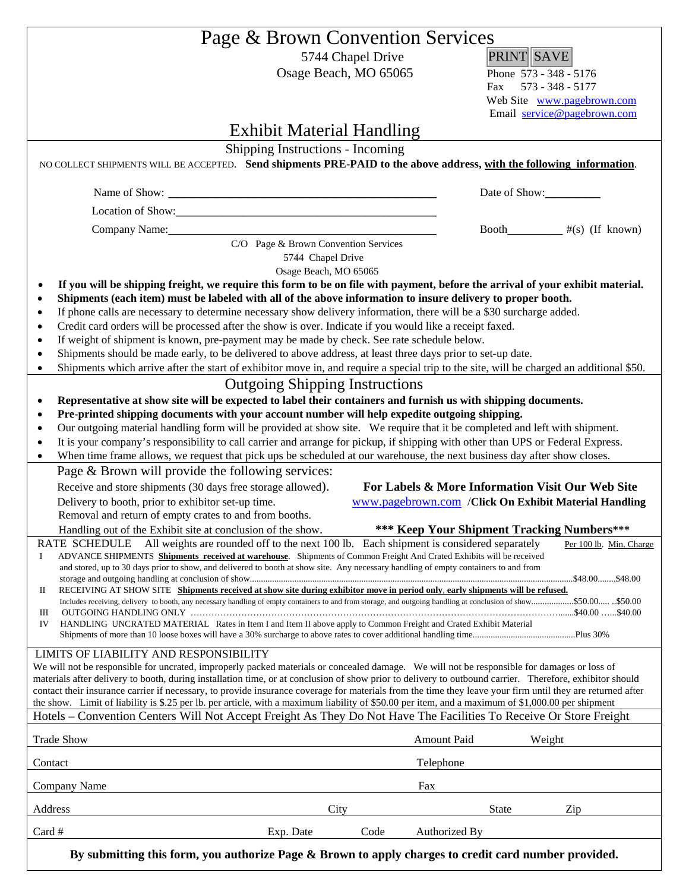|            |                                                                                                                                 | Page & Brown Convention Services                                                                                                                                                                                                                            |                                                                                                                                                                                                                                                                                                                        |  |  |
|------------|---------------------------------------------------------------------------------------------------------------------------------|-------------------------------------------------------------------------------------------------------------------------------------------------------------------------------------------------------------------------------------------------------------|------------------------------------------------------------------------------------------------------------------------------------------------------------------------------------------------------------------------------------------------------------------------------------------------------------------------|--|--|
|            |                                                                                                                                 | 5744 Chapel Drive<br>Osage Beach, MO 65065                                                                                                                                                                                                                  | <b>PRINT SAVE</b><br>Phone 573 - 348 - 5176<br>573 - 348 - 5177<br>Fax<br>Web Site www.pagebrown.com<br>Email service@pagebrown.com                                                                                                                                                                                    |  |  |
|            |                                                                                                                                 |                                                                                                                                                                                                                                                             |                                                                                                                                                                                                                                                                                                                        |  |  |
|            |                                                                                                                                 | <b>Exhibit Material Handling</b>                                                                                                                                                                                                                            |                                                                                                                                                                                                                                                                                                                        |  |  |
|            |                                                                                                                                 | Shipping Instructions - Incoming                                                                                                                                                                                                                            |                                                                                                                                                                                                                                                                                                                        |  |  |
|            |                                                                                                                                 |                                                                                                                                                                                                                                                             | NO COLLECT SHIPMENTS WILL BE ACCEPTED. Send shipments PRE-PAID to the above address, with the following information.                                                                                                                                                                                                   |  |  |
|            |                                                                                                                                 |                                                                                                                                                                                                                                                             | Date of Show:                                                                                                                                                                                                                                                                                                          |  |  |
|            |                                                                                                                                 |                                                                                                                                                                                                                                                             |                                                                                                                                                                                                                                                                                                                        |  |  |
|            |                                                                                                                                 | Company Name: 1988 Company Name:                                                                                                                                                                                                                            | Booth__________#(s) (If known)                                                                                                                                                                                                                                                                                         |  |  |
|            |                                                                                                                                 | C/O Page & Brown Convention Services<br>5744 Chapel Drive<br>Osage Beach, MO 65065                                                                                                                                                                          |                                                                                                                                                                                                                                                                                                                        |  |  |
|            |                                                                                                                                 |                                                                                                                                                                                                                                                             | If you will be shipping freight, we require this form to be on file with payment, before the arrival of your exhibit material.                                                                                                                                                                                         |  |  |
| ٠          |                                                                                                                                 | Shipments (each item) must be labeled with all of the above information to insure delivery to proper booth.<br>If phone calls are necessary to determine necessary show delivery information, there will be a \$30 surcharge added.                         |                                                                                                                                                                                                                                                                                                                        |  |  |
| ٠          |                                                                                                                                 | Credit card orders will be processed after the show is over. Indicate if you would like a receipt faxed.                                                                                                                                                    |                                                                                                                                                                                                                                                                                                                        |  |  |
| ٠          |                                                                                                                                 | If weight of shipment is known, pre-payment may be made by check. See rate schedule below.                                                                                                                                                                  |                                                                                                                                                                                                                                                                                                                        |  |  |
| $\epsilon$ |                                                                                                                                 | Shipments should be made early, to be delivered to above address, at least three days prior to set-up date.                                                                                                                                                 |                                                                                                                                                                                                                                                                                                                        |  |  |
| $\bullet$  |                                                                                                                                 |                                                                                                                                                                                                                                                             | Shipments which arrive after the start of exhibitor move in, and require a special trip to the site, will be charged an additional \$50.                                                                                                                                                                               |  |  |
|            |                                                                                                                                 | <b>Outgoing Shipping Instructions</b><br>Representative at show site will be expected to label their containers and furnish us with shipping documents.                                                                                                     |                                                                                                                                                                                                                                                                                                                        |  |  |
| ٠<br>٠     |                                                                                                                                 | Pre-printed shipping documents with your account number will help expedite outgoing shipping.                                                                                                                                                               |                                                                                                                                                                                                                                                                                                                        |  |  |
|            |                                                                                                                                 | Our outgoing material handling form will be provided at show site. We require that it be completed and left with shipment.                                                                                                                                  |                                                                                                                                                                                                                                                                                                                        |  |  |
|            | It is your company's responsibility to call carrier and arrange for pickup, if shipping with other than UPS or Federal Express. |                                                                                                                                                                                                                                                             |                                                                                                                                                                                                                                                                                                                        |  |  |
| $\bullet$  |                                                                                                                                 | When time frame allows, we request that pick ups be scheduled at our warehouse, the next business day after show closes.                                                                                                                                    |                                                                                                                                                                                                                                                                                                                        |  |  |
|            | Page & Brown will provide the following services:                                                                               |                                                                                                                                                                                                                                                             |                                                                                                                                                                                                                                                                                                                        |  |  |
|            | Receive and store shipments (30 days free storage allowed).<br>Delivery to booth, prior to exhibitor set-up time.               |                                                                                                                                                                                                                                                             | For Labels & More Information Visit Our Web Site<br>www.pagebrown.com / Click On Exhibit Material Handling                                                                                                                                                                                                             |  |  |
|            | Removal and return of empty crates to and from booths.                                                                          |                                                                                                                                                                                                                                                             |                                                                                                                                                                                                                                                                                                                        |  |  |
|            | Handling out of the Exhibit site at conclusion of the show.                                                                     |                                                                                                                                                                                                                                                             | <b>*** Keep Your Shipment Tracking Numbers***</b>                                                                                                                                                                                                                                                                      |  |  |
|            | <b>RATE SCHEDULE</b>                                                                                                            | All weights are rounded off to the next 100 lb. Each shipment is considered separately                                                                                                                                                                      | Per 100 lb. Min. Charge                                                                                                                                                                                                                                                                                                |  |  |
| Ι.         |                                                                                                                                 | ADVANCE SHIPMENTS Shipments received at warehouse. Shipments of Common Freight And Crated Exhibits will be received<br>and stored, up to 30 days prior to show, and delivered to booth at show site. Any necessary handling of empty containers to and from |                                                                                                                                                                                                                                                                                                                        |  |  |
|            |                                                                                                                                 |                                                                                                                                                                                                                                                             |                                                                                                                                                                                                                                                                                                                        |  |  |
| П          |                                                                                                                                 | RECEIVING AT SHOW SITE Shipments received at show site during exhibitor move in period only, early shipments will be refused.                                                                                                                               |                                                                                                                                                                                                                                                                                                                        |  |  |
| Ш          |                                                                                                                                 | HANDLING UNCRATED MATERIAL Rates in Item I and Item II above apply to Common Freight and Crated Exhibit Material                                                                                                                                            |                                                                                                                                                                                                                                                                                                                        |  |  |
| IV         |                                                                                                                                 |                                                                                                                                                                                                                                                             |                                                                                                                                                                                                                                                                                                                        |  |  |
|            | LIMITS OF LIABILITY AND RESPONSIBILITY                                                                                          |                                                                                                                                                                                                                                                             |                                                                                                                                                                                                                                                                                                                        |  |  |
|            |                                                                                                                                 | We will not be responsible for uncrated, improperly packed materials or concealed damage. We will not be responsible for damages or loss of                                                                                                                 |                                                                                                                                                                                                                                                                                                                        |  |  |
|            |                                                                                                                                 |                                                                                                                                                                                                                                                             | materials after delivery to booth, during installation time, or at conclusion of show prior to delivery to outbound carrier. Therefore, exhibitor should<br>contact their insurance carrier if necessary, to provide insurance coverage for materials from the time they leave your firm until they are returned after |  |  |
|            |                                                                                                                                 | the show. Limit of liability is \$.25 per lb. per article, with a maximum liability of \$50.00 per item, and a maximum of \$1,000.00 per shipment                                                                                                           |                                                                                                                                                                                                                                                                                                                        |  |  |
|            |                                                                                                                                 | Hotels – Convention Centers Will Not Accept Freight As They Do Not Have The Facilities To Receive Or Store Freight                                                                                                                                          |                                                                                                                                                                                                                                                                                                                        |  |  |
|            | <b>Trade Show</b>                                                                                                               |                                                                                                                                                                                                                                                             | Amount Paid<br>Weight                                                                                                                                                                                                                                                                                                  |  |  |
| Contact    |                                                                                                                                 |                                                                                                                                                                                                                                                             | Telephone                                                                                                                                                                                                                                                                                                              |  |  |
|            | Company Name                                                                                                                    | Fax                                                                                                                                                                                                                                                         |                                                                                                                                                                                                                                                                                                                        |  |  |
|            |                                                                                                                                 |                                                                                                                                                                                                                                                             |                                                                                                                                                                                                                                                                                                                        |  |  |
| Address    |                                                                                                                                 | City                                                                                                                                                                                                                                                        | <b>State</b><br>Zip                                                                                                                                                                                                                                                                                                    |  |  |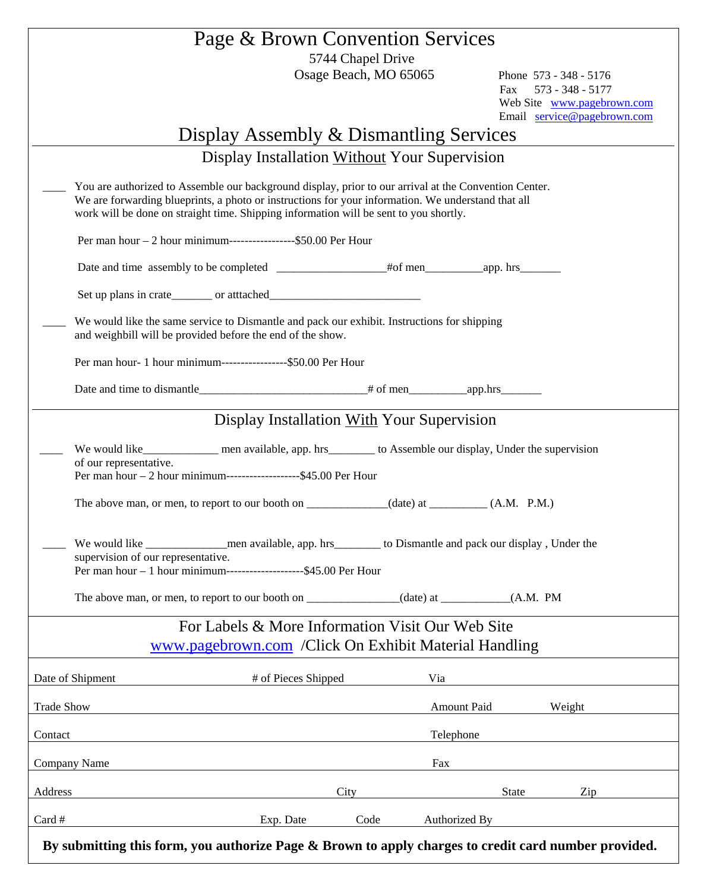| Exp. Date                                                                                                                                                                                                                                                                                            | Code                               | Authorized By                                                                                                                                                                                                                                                                                                                                                     |                                                                                                                                                                                                                                                                                                                                                                                                                                                                                                                                                         |  |
|------------------------------------------------------------------------------------------------------------------------------------------------------------------------------------------------------------------------------------------------------------------------------------------------------|------------------------------------|-------------------------------------------------------------------------------------------------------------------------------------------------------------------------------------------------------------------------------------------------------------------------------------------------------------------------------------------------------------------|---------------------------------------------------------------------------------------------------------------------------------------------------------------------------------------------------------------------------------------------------------------------------------------------------------------------------------------------------------------------------------------------------------------------------------------------------------------------------------------------------------------------------------------------------------|--|
|                                                                                                                                                                                                                                                                                                      | City                               |                                                                                                                                                                                                                                                                                                                                                                   | State<br>Zip                                                                                                                                                                                                                                                                                                                                                                                                                                                                                                                                            |  |
|                                                                                                                                                                                                                                                                                                      |                                    | Fax                                                                                                                                                                                                                                                                                                                                                               |                                                                                                                                                                                                                                                                                                                                                                                                                                                                                                                                                         |  |
|                                                                                                                                                                                                                                                                                                      |                                    | Telephone                                                                                                                                                                                                                                                                                                                                                         |                                                                                                                                                                                                                                                                                                                                                                                                                                                                                                                                                         |  |
|                                                                                                                                                                                                                                                                                                      |                                    | Amount Paid                                                                                                                                                                                                                                                                                                                                                       | Weight                                                                                                                                                                                                                                                                                                                                                                                                                                                                                                                                                  |  |
|                                                                                                                                                                                                                                                                                                      |                                    | Via                                                                                                                                                                                                                                                                                                                                                               |                                                                                                                                                                                                                                                                                                                                                                                                                                                                                                                                                         |  |
|                                                                                                                                                                                                                                                                                                      |                                    |                                                                                                                                                                                                                                                                                                                                                                   |                                                                                                                                                                                                                                                                                                                                                                                                                                                                                                                                                         |  |
|                                                                                                                                                                                                                                                                                                      |                                    |                                                                                                                                                                                                                                                                                                                                                                   |                                                                                                                                                                                                                                                                                                                                                                                                                                                                                                                                                         |  |
|                                                                                                                                                                                                                                                                                                      |                                    |                                                                                                                                                                                                                                                                                                                                                                   |                                                                                                                                                                                                                                                                                                                                                                                                                                                                                                                                                         |  |
|                                                                                                                                                                                                                                                                                                      |                                    |                                                                                                                                                                                                                                                                                                                                                                   |                                                                                                                                                                                                                                                                                                                                                                                                                                                                                                                                                         |  |
|                                                                                                                                                                                                                                                                                                      |                                    |                                                                                                                                                                                                                                                                                                                                                                   |                                                                                                                                                                                                                                                                                                                                                                                                                                                                                                                                                         |  |
|                                                                                                                                                                                                                                                                                                      |                                    |                                                                                                                                                                                                                                                                                                                                                                   |                                                                                                                                                                                                                                                                                                                                                                                                                                                                                                                                                         |  |
| We would like_____________ men available, app. hrs________ to Assemble our display, Under the supervision<br>of our representative.                                                                                                                                                                  |                                    |                                                                                                                                                                                                                                                                                                                                                                   |                                                                                                                                                                                                                                                                                                                                                                                                                                                                                                                                                         |  |
|                                                                                                                                                                                                                                                                                                      |                                    |                                                                                                                                                                                                                                                                                                                                                                   |                                                                                                                                                                                                                                                                                                                                                                                                                                                                                                                                                         |  |
|                                                                                                                                                                                                                                                                                                      |                                    |                                                                                                                                                                                                                                                                                                                                                                   |                                                                                                                                                                                                                                                                                                                                                                                                                                                                                                                                                         |  |
|                                                                                                                                                                                                                                                                                                      |                                    |                                                                                                                                                                                                                                                                                                                                                                   |                                                                                                                                                                                                                                                                                                                                                                                                                                                                                                                                                         |  |
|                                                                                                                                                                                                                                                                                                      |                                    |                                                                                                                                                                                                                                                                                                                                                                   |                                                                                                                                                                                                                                                                                                                                                                                                                                                                                                                                                         |  |
|                                                                                                                                                                                                                                                                                                      |                                    |                                                                                                                                                                                                                                                                                                                                                                   |                                                                                                                                                                                                                                                                                                                                                                                                                                                                                                                                                         |  |
|                                                                                                                                                                                                                                                                                                      |                                    |                                                                                                                                                                                                                                                                                                                                                                   |                                                                                                                                                                                                                                                                                                                                                                                                                                                                                                                                                         |  |
|                                                                                                                                                                                                                                                                                                      |                                    |                                                                                                                                                                                                                                                                                                                                                                   |                                                                                                                                                                                                                                                                                                                                                                                                                                                                                                                                                         |  |
| You are authorized to Assemble our background display, prior to our arrival at the Convention Center.<br>We are forwarding blueprints, a photo or instructions for your information. We understand that all<br>work will be done on straight time. Shipping information will be sent to you shortly. |                                    |                                                                                                                                                                                                                                                                                                                                                                   |                                                                                                                                                                                                                                                                                                                                                                                                                                                                                                                                                         |  |
|                                                                                                                                                                                                                                                                                                      |                                    |                                                                                                                                                                                                                                                                                                                                                                   |                                                                                                                                                                                                                                                                                                                                                                                                                                                                                                                                                         |  |
|                                                                                                                                                                                                                                                                                                      |                                    |                                                                                                                                                                                                                                                                                                                                                                   |                                                                                                                                                                                                                                                                                                                                                                                                                                                                                                                                                         |  |
|                                                                                                                                                                                                                                                                                                      |                                    |                                                                                                                                                                                                                                                                                                                                                                   | Web Site www.pagebrown.com<br>Email service@pagebrown.com                                                                                                                                                                                                                                                                                                                                                                                                                                                                                               |  |
|                                                                                                                                                                                                                                                                                                      |                                    |                                                                                                                                                                                                                                                                                                                                                                   | Fax<br>573 - 348 - 5177                                                                                                                                                                                                                                                                                                                                                                                                                                                                                                                                 |  |
|                                                                                                                                                                                                                                                                                                      | Osage Beach, MO 65065              |                                                                                                                                                                                                                                                                                                                                                                   | Phone 573 - 348 - 5176                                                                                                                                                                                                                                                                                                                                                                                                                                                                                                                                  |  |
|                                                                                                                                                                                                                                                                                                      | supervision of our representative. | Per man hour $-2$ hour minimum-----------------\$50.00 Per Hour<br>and weighbill will be provided before the end of the show.<br>Per man hour- 1 hour minimum------------------\$50.00 Per Hour<br>Per man hour $-2$ hour minimum-------------------\$45.00 Per Hour<br>Per man hour – 1 hour minimum---------------------\$45.00 Per Hour<br># of Pieces Shipped | Display Assembly & Dismantling Services<br>Display Installation Without Your Supervision<br>We would like the same service to Dismantle and pack our exhibit. Instructions for shipping<br>Display Installation With Your Supervision<br>The above man, or men, to report to our booth on ____________(date) at ________(A.M. P.M.)<br>We would like <u>entitled</u> men available, app. hrs to Dismantle and pack our display, Under the<br>For Labels & More Information Visit Our Web Site<br>www.pagebrown.com / Click On Exhibit Material Handling |  |